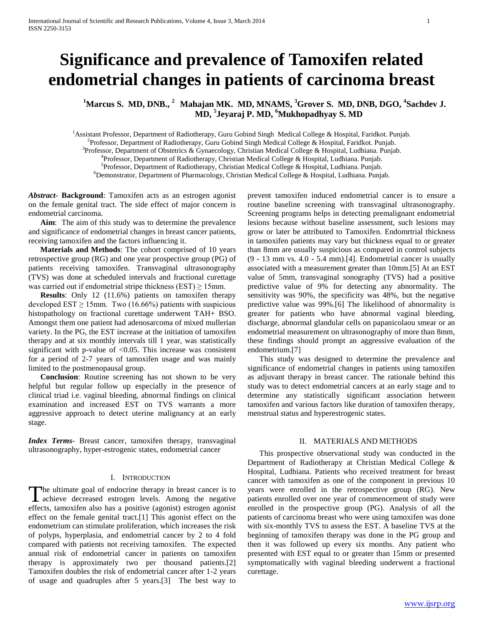# **Significance and prevalence of Tamoxifen related endometrial changes in patients of carcinoma breast**

<sup>1</sup>Marcus S. MD, DNB., <sup>2</sup> Mahajan MK. MD, MNAMS, <sup>3</sup>Grover S. MD, DNB, DGO, <sup>4</sup>Sachdev J. **MD, 5 Jeyaraj P. MD, <sup>6</sup>Mukhopadhyay S. MD**

<sup>1</sup>Assistant Professor, Department of Radiotherapy, Guru Gobind Singh Medical College & Hospital, Faridkot. Punjab. 2 Professor, Department of Radiotherapy, Guru Gobind Singh Medical College & Hospital, Faridkot. Punjab. <sup>3</sup>Professor, Department of Obstetrics & Gynaecology, Christian Medical College & Hospital, Ludhiana. Punjab. <sup>4</sup> Professor, Department of Radiotherapy, Christian Medical College & Hospital, Ludhiana. Punjab. 5 Professor, Department of Radiotherapy, Christian Medical College & Hospital, Ludhiana. Punjab.  $6D$ emonstrator, Department of Pharmacology, Christian Medical College & Hospital, Ludhiana. Punjab.

*Abstract***- Background**: Tamoxifen acts as an estrogen agonist on the female genital tract. The side effect of major concern is endometrial carcinoma.

 **Aim**: The aim of this study was to determine the prevalence and significance of endometrial changes in breast cancer patients, receiving tamoxifen and the factors influencing it.

 **Materials and Methods**: The cohort comprised of 10 years retrospective group (RG) and one year prospective group (PG) of patients receiving tamoxifen. Transvaginal ultrasonography (TVS) was done at scheduled intervals and fractional curettage was carried out if endometrial stripe thickness (EST)  $\geq$  15mm.

 **Results**: Only 12 (11.6%) patients on tamoxifen therapy developed EST  $\geq$  15mm. Two (16.66%) patients with suspicious histopathology on fractional curettage underwent TAH+ BSO. Amongst them one patient had adenosarcoma of mixed mullerian variety. In the PG, the EST increase at the initiation of tamoxifen therapy and at six monthly intervals till 1 year, was statistically significant with p-value of  $< 0.05$ . This increase was consistent for a period of 2-7 years of tamoxifen usage and was mainly limited to the postmenopausal group.

 **Conclusion**: Routine screening has not shown to be very helpful but regular follow up especially in the presence of clinical triad i.e. vaginal bleeding, abnormal findings on clinical examination and increased EST on TVS warrants a more aggressive approach to detect uterine malignancy at an early stage.

*Index Terms*- Breast cancer, tamoxifen therapy, transvaginal ultrasonography, hyper-estrogenic states, endometrial cancer

#### I. INTRODUCTION

The ultimate goal of endocrine therapy in breast cancer is to The ultimate goal of endocrine therapy in breast cancer is to achieve decreased estrogen levels. Among the negative effects, tamoxifen also has a positive (agonist) estrogen agonist effect on the female genital tract.[1] This agonist effect on the endometrium can stimulate proliferation, which increases the risk of polyps, hyperplasia, and endometrial cancer by 2 to 4 fold compared with patients not receiving tamoxifen. The expected annual risk of endometrial cancer in patients on tamoxifen therapy is approximately two per thousand patients.[2] Tamoxifen doubles the risk of endometrial cancer after 1-2 years of usage and quadruples after 5 years.[3] The best way to

prevent tamoxifen induced endometrial cancer is to ensure a routine baseline screening with transvaginal ultrasonography. Screening programs helps in detecting premalignant endometrial lesions because without baseline assessment, such lesions may grow or later be attributed to Tamoxifen. Endomrtrial thickness in tamoxifen patients may vary but thickness equal to or greater than 8mm are usually suspicious as compared in control subjects (9 - 13 mm vs. 4.0 - 5.4 mm).[4]. Endometrial cancer is usually associated with a measurement greater than 10mm.[5] At an EST value of 5mm, transvaginal sonography (TVS) had a positive predictive value of 9% for detecting any abnormality. The sensitivity was 90%, the specificity was 48%, but the negative predictive value was 99%.[6] The likelihood of abnormality is greater for patients who have abnormal vaginal bleeding, discharge, abnormal glandular cells on papanicolaou smear or an endometrial measurement on ultrasonography of more than 8mm, these findings should prompt an aggressive evaluation of the endometrium.[7]

 This study was designed to determine the prevalence and significance of endometrial changes in patients using tamoxifen as adjuvant therapy in breast cancer. The rationale behind this study was to detect endometrial cancers at an early stage and to determine any statistically significant association between tamoxifen and various factors like duration of tamoxifen therapy, menstrual status and hyperestrogenic states.

# II. MATERIALS AND METHODS

 This prospective observational study was conducted in the Department of Radiotherapy at Christian Medical College & Hospital, Ludhiana. Patients who received treatment for breast cancer with tamoxifen as one of the component in previous 10 years were enrolled in the retrospective group (RG). New patients enrolled over one year of commencement of study were enrolled in the prospective group (PG). Analysis of all the patients of carcinoma breast who were using tamoxifen was done with six-monthly TVS to assess the EST. A baseline TVS at the beginning of tamoxifen therapy was done in the PG group and then it was followed up every six months. Any patient who presented with EST equal to or greater than 15mm or presented symptomatically with vaginal bleeding underwent a fractional curettage.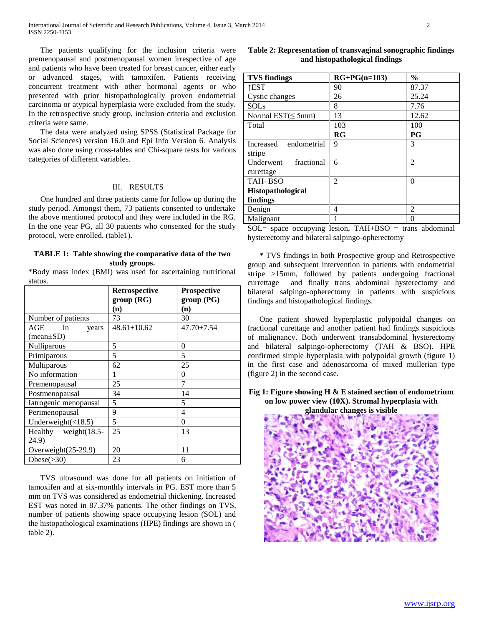The patients qualifying for the inclusion criteria were premenopausal and postmenopausal women irrespective of age and patients who have been treated for breast cancer, either early or advanced stages, with tamoxifen. Patients receiving concurrent treatment with other hormonal agents or who presented with prior histopathologically proven endometrial carcinoma or atypical hyperplasia were excluded from the study. In the retrospective study group, inclusion criteria and exclusion criteria were same.

 The data were analyzed using SPSS (Statistical Package for Social Sciences) version 16.0 and Epi Info Version 6. Analysis was also done using cross-tables and Chi-square tests for various categories of different variables.

# III. RESULTS

 One hundred and three patients came for follow up during the study period. Amongst them, 73 patients consented to undertake the above mentioned protocol and they were included in the RG. In the one year PG, all 30 patients who consented for the study protocol, were enrolled. (table1).

#### **TABLE 1: Table showing the comparative data of the two study groups.**

\*Body mass index (BMI) was used for ascertaining nutritional status.

|                               | Retrospective<br>group(RG) | Prospective<br>group(PG) |
|-------------------------------|----------------------------|--------------------------|
|                               | (n)                        | (n)                      |
| Number of patients            | 73                         | 30                       |
| AGE<br>in<br>years            | $48.61 \pm 10.62$          | $47.70 \pm 7.54$         |
| $(\text{mean} \pm \text{SD})$ |                            |                          |
| Nulliparous                   | 5                          | 0                        |
| Primiparous                   | 5                          | 5                        |
| Multiparous                   | 62                         | 25                       |
| No information                |                            | $\Omega$                 |
| Premenopausal                 | 25                         | 7                        |
| Postmenopausal                | 34                         | 14                       |
| Iatrogenic menopausal         | 5                          | 5                        |
| Perimenopausal                | 9                          | $\overline{4}$           |
| Underweight $(\langle 18.5)$  | 5                          | $\theta$                 |
| Healthy weight(18.5-          | 25                         | 13                       |
| 24.9)                         |                            |                          |
| Overweight(25-29.9)           | 20                         | 11                       |
| Obese $(>30)$                 | 23                         | 6                        |

 TVS ultrasound was done for all patients on initiation of tamoxifen and at six-monthly intervals in PG. EST more than 5 mm on TVS was considered as endometrial thickening. Increased EST was noted in 87.37% patients. The other findings on TVS, number of patients showing space occupying lesion (SOL) and the histopathological examinations (HPE) findings are shown in ( table 2).

# **Table 2: Representation of transvaginal sonographic findings and histopathological findings**

| <b>TVS</b> findings      | $RG+PG(n=103)$ | $\frac{6}{9}$  |
|--------------------------|----------------|----------------|
| ↑EST                     | 90             | 87.37          |
| Cystic changes           | 26             | 25.24          |
| <b>SOLs</b>              | 8              | 7.76           |
| Normal $EST(\leq 5mm)$   | 13             | 12.62          |
| Total                    | 103            | 100            |
|                          | RG             | PG             |
| endometrial<br>Increased | 9              | 3              |
| stripe                   |                |                |
| fractional<br>Underwent  | 6              | $\mathfrak{D}$ |
| curettage                |                |                |
| TAH+BSO                  | 2              | $\theta$       |
| <b>Histopathological</b> |                |                |
| findings                 |                |                |
| Benign                   | 4              | 2              |
| Malignant                |                | 0              |

 $SOL=$  space occupying lesion, TAH+BSO = trans abdominal hysterectomy and bilateral salpingo-opherectomy

 \* TVS findings in both Prospective group and Retrospective group and subsequent intervention in patients with endometrial stripe >15mm, followed by patients undergoing fractional currettage and finally trans abdominal hysterectomy and bilateral salpingo-opherectomy in patients with suspicious findings and histopathological findings.

 One patient showed hyperplastic polypoidal changes on fractional curettage and another patient had findings suspicious of malignancy. Both underwent transabdominal hysterectomy and bilateral salpingo-opherectomy (TAH & BSO). HPE confirmed simple hyperplasia with polypoidal growth (figure 1) in the first case and adenosarcoma of mixed mullerian type (figure 2) in the second case.

**Fig 1: Figure showing H & E stained section of endometrium on low power view (10X). Stromal hyperplasia with** 

**glandular changes is visible**

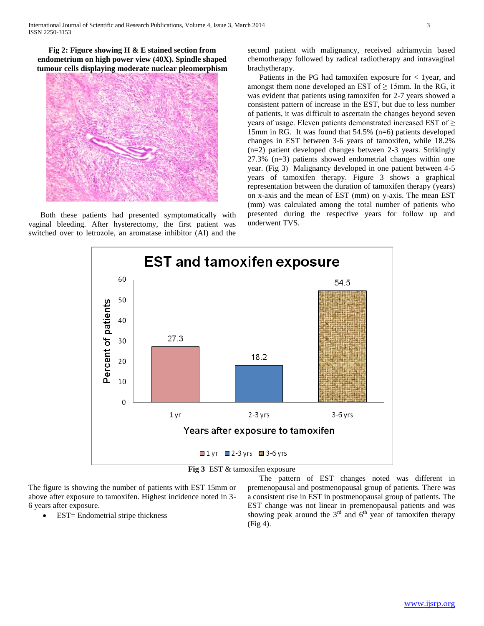**Fig 2: Figure showing H & E stained section from endometrium on high power view (40X). Spindle shaped tumour cells displaying moderate nuclear pleomorphism**



 Both these patients had presented symptomatically with vaginal bleeding. After hysterectomy, the first patient was switched over to letrozole, an aromatase inhibitor (AI) and the second patient with malignancy, received adriamycin based chemotherapy followed by radical radiotherapy and intravaginal brachytherapy.

 Patients in the PG had tamoxifen exposure for < 1year, and amongst them none developed an EST of  $\geq$  15mm. In the RG, it was evident that patients using tamoxifen for 2-7 years showed a consistent pattern of increase in the EST, but due to less number of patients, it was difficult to ascertain the changes beyond seven years of usage. Eleven patients demonstrated increased EST of ≥ 15mm in RG. It was found that 54.5% (n=6) patients developed changes in EST between 3-6 years of tamoxifen, while 18.2% (n=2) patient developed changes between 2-3 years. Strikingly 27.3% (n=3) patients showed endometrial changes within one year. (Fig 3) Malignancy developed in one patient between 4-5 years of tamoxifen therapy. Figure 3 shows a graphical representation between the duration of tamoxifen therapy (years) on x-axis and the mean of EST (mm) on y-axis. The mean EST (mm) was calculated among the total number of patients who presented during the respective years for follow up and underwent TVS.



**Fig 3** EST & tamoxifen exposure

The figure is showing the number of patients with EST 15mm or above after exposure to tamoxifen. Highest incidence noted in 3- 6 years after exposure.

EST= Endometrial stripe thickness

 The pattern of EST changes noted was different in premenopausal and postmenopausal group of patients. There was a consistent rise in EST in postmenopausal group of patients. The EST change was not linear in premenopausal patients and was showing peak around the  $3<sup>rd</sup>$  and  $6<sup>th</sup>$  year of tamoxifen therapy  $(Fi\varrho 4)$ .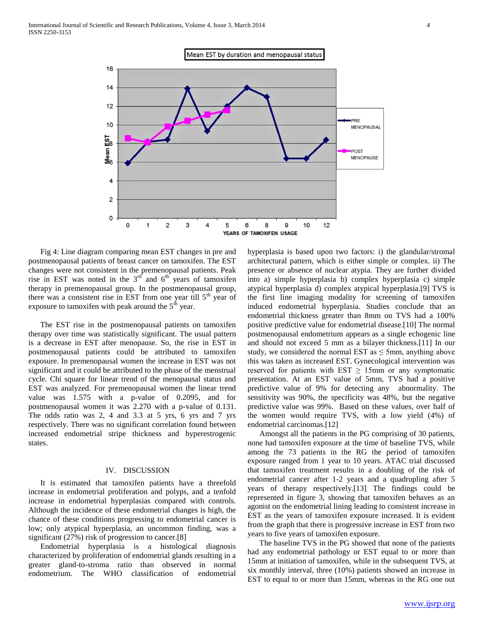

 Fig 4: Line diagram comparing mean EST changes in pre and postmenopausal patients of breast cancer on tamoxifen. The EST changes were not consistent in the premenopausal patients. Peak rise in EST was noted in the  $3<sup>rd</sup>$  and  $6<sup>th</sup>$  years of tamoxifen therapy in premenopausal group. In the postmenopausal group, there was a consistent rise in EST from one year till  $5<sup>th</sup>$  year of exposure to tamoxifen with peak around the  $5<sup>th</sup>$  year.

 The EST rise in the postmenopausal patients on tamoxifen therapy over time was statistically significant. The usual pattern is a decrease in EST after menopause. So, the rise in EST in postmenopausal patients could be attributed to tamoxifen exposure. In premenopausal women the increase in EST was not significant and it could be attributed to the phase of the menstrual cycle. Chi square for linear trend of the menopausal status and EST was analyzed. For premenopausal women the linear trend value was 1.575 with a p-value of 0.2095, and for postmenopausal women it was 2.270 with a p-value of 0.131. The odds ratio was 2, 4 and 3.3 at 5 yrs, 6 yrs and 7 yrs respectively. There was no significant correlation found between increased endometrial stripe thickness and hyperestrogenic states.

## IV. DISCUSSION

 It is estimated that tamoxifen patients have a threefold increase in endometrial proliferation and polyps, and a tenfold increase in endometrial hyperplasias compared with controls. Although the incidence of these endometrial changes is high, the chance of these conditions progressing to endometrial cancer is low; only atypical hyperplasia, an uncommon finding, was a significant (27%) risk of progression to cancer.[8]

 Endometrial hyperplasia is a histological diagnosis characterized by proliferation of endometrial glands resulting in a greater gland-to-stroma ratio than observed in normal endometrium. The WHO classification of endometrial

hyperplasia is based upon two factors: i) the glandular/stromal architectural pattern, which is either simple or complex. ii) The presence or absence of nuclear atypia. They are further divided into a) simple hyperplasia b) complex hyperplasia c) simple atypical hyperplasia d) complex atypical hyperplasia.[9] TVS is the first line imaging modality for screening of tamoxifen induced endometrial hyperplasia. Studies conclude that an endometrial thickness greater than 8mm on TVS had a 100% positive predictive value for endometrial disease.[10] The normal postmenopausal endometrium appears as a single echogenic line and should not exceed 5 mm as a bilayer thickness.[11] In our study, we considered the normal EST as  $\leq$  5mm, anything above this was taken as increased EST. Gynecological intervention was reserved for patients with EST  $\geq$  15mm or any symptomatic presentation. At an EST value of 5mm, TVS had a positive predictive value of 9% for detecting any abnormality. The sensitivity was 90%, the specificity was 48%, but the negative predictive value was 99%. Based on these values, over half of the women would require TVS, with a low yield (4%) of endometrial carcinomas.[12]

 Amongst all the patients in the PG comprising of 30 patients, none had tamoxifen exposure at the time of baseline TVS, while among the 73 patients in the RG the period of tamoxifen exposure ranged from 1 year to 10 years. ATAC trial discussed that tamoxifen treatment results in a doubling of the risk of endometrial cancer after 1-2 years and a quadrupling after 5 years of therapy respectively.[13] The findings could be represented in figure 3, showing that tamoxifen behaves as an agonist on the endometrial lining leading to consistent increase in EST as the years of tamoxifen exposure increased. It is evident from the graph that there is progressive increase in EST from two years to five years of tamoxifen exposure.

 The baseline TVS in the PG showed that none of the patients had any endometrial pathology or EST equal to or more than 15mm at initiation of tamoxifen, while in the subsequent TVS, at six monthly interval, three (10%) patients showed an increase in EST to equal to or more than 15mm, whereas in the RG one out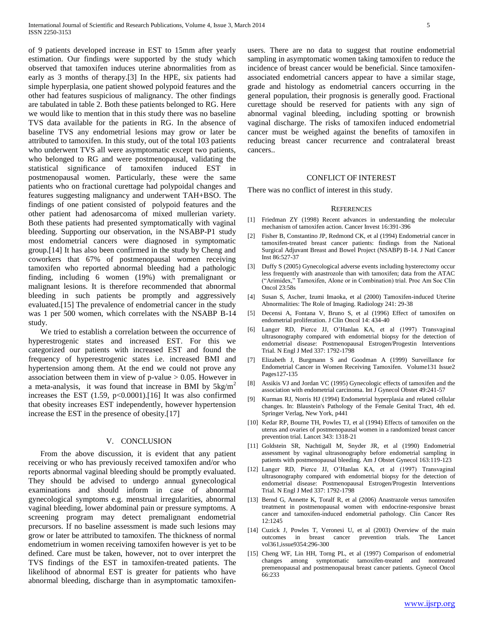of 9 patients developed increase in EST to 15mm after yearly estimation. Our findings were supported by the study which observed that tamoxifen induces uterine abnormalities from as early as 3 months of therapy.[3] In the HPE, six patients had simple hyperplasia, one patient showed polypoid features and the other had features suspicious of malignancy. The other findings are tabulated in table 2. Both these patients belonged to RG. Here we would like to mention that in this study there was no baseline TVS data available for the patients in RG. In the absence of baseline TVS any endometrial lesions may grow or later be attributed to tamoxifen. In this study, out of the total 103 patients who underwent TVS all were asymptomatic except two patients, who belonged to RG and were postmenopausal, validating the statistical significance of tamoxifen induced EST in postmenopausal women. Particularly, these were the same patients who on fractional curettage had polypoidal changes and features suggesting malignancy and underwent TAH+BSO. The findings of one patient consisted of polypoid features and the other patient had adenosarcoma of mixed mullerian variety. Both these patients had presented symptomatically with vaginal bleeding. Supporting our observation, in the NSABP-P1 study most endometrial cancers were diagnosed in symptomatic group.[14] It has also been confirmed in the study by Cheng and coworkers that 67% of postmenopausal women receiving tamoxifen who reported abnormal bleeding had a pathologic finding, including 6 women (19%) with premalignant or malignant lesions. It is therefore recommended that abnormal bleeding in such patients be promptly and aggressively evaluated.[15] The prevalence of endometrial cancer in the study was 1 per 500 women, which correlates with the NSABP B-14 study.

 We tried to establish a correlation between the occurrence of hyperestrogenic states and increased EST. For this we categorized our patients with increased EST and found the frequency of hyperestrogenic states i.e. increased BMI and hypertension among them. At the end we could not prove any association between them in view of p-value  $> 0.05$ . However in a meta-analysis, it was found that increase in BMI by  $5\text{kg/m}^2$ increases the EST  $(1.59, p<0.0001)$ . [16] It was also confirmed that obesity increases EST independently, however hypertension increase the EST in the presence of obesity.[17]

#### V. CONCLUSION

 From the above discussion, it is evident that any patient receiving or who has previously received tamoxifen and/or who reports abnormal vaginal bleeding should be promptly evaluated. They should be advised to undergo annual gynecological examinations and should inform in case of abnormal gynecological symptoms e.g. menstrual irregularities, abnormal vaginal bleeding, lower abdominal pain or pressure symptoms. A screening program may detect premalignant endometrial precursors. If no baseline assessment is made such lesions may grow or later be attributed to tamoxifen. The thickness of normal endometrium in women receiving tamoxifen however is yet to be defined. Care must be taken, however, not to over interpret the TVS findings of the EST in tamoxifen-treated patients. The likelihood of abnormal EST is greater for patients who have abnormal bleeding, discharge than in asymptomatic tamoxifenusers. There are no data to suggest that routine endometrial sampling in asymptomatic women taking tamoxifen to reduce the incidence of breast cancer would be beneficial. Since tamoxifenassociated endometrial cancers appear to have a similar stage, grade and histology as endometrial cancers occurring in the general population, their prognosis is generally good. Fractional curettage should be reserved for patients with any sign of abnormal vaginal bleeding, including spotting or brownish vaginal discharge. The risks of tamoxifen induced endometrial cancer must be weighed against the benefits of tamoxifen in reducing breast cancer recurrence and contralateral breast cancers..

### CONFLICT OF INTEREST

There was no conflict of interest in this study.

#### **REFERENCES**

- [1] Friedman ZY (1998) Recent advances in understanding the molecular mechanism of tamoxifen action. Cancer Invest 16:391-396
- [2] Fisher B, Constantino JP, Redmond CK, et al (1994) Endometrial cancer in tamoxifen-treated breast cancer patients: findings from the National Surgical Adjuvant Breast and Bowel Project (NSABP) B-14. J Natl Cancer Inst 86:527-37
- [3] Duffy S (2005) Gynecological adverse events including hysterectomy occur less frequently with anastrozole than with tamoxifen; data from the ATAC ("Arimidex," Tamoxifen, Alone or in Combination) trial. Proc Am Soc Clin Oncol 23:58s
- [4] Susan S, Ascher, Izumi Imaoka, et al (2000) Tamoxifen-induced Uterine Abnormalities: The Role of Imaging. Radiology 241: 29-38
- [5] Decensi A, Fontana V, Bruno S, et al (1996) Effect of tamoxifen on endometrial proliferation. J Clin Oncol 14: 434-40
- [6] Langer RD, Pierce JJ, O'Hanlan KA, et al (1997) Transvaginal ultrasonography compared with endometrial biopsy for the detection of endometrial disease: Postmenopausal Estrogen/Progestin Interventions Trial. N Engl J Med 337: 1792-1798
- [7] Elizabeth J, Burgmann S and Goodman A (1999) Surveillance for Endometrial Cancer in Women Receiving Tamoxifen. Volume131 Issue2 Pages127-135
- [8] Assikis VJ and Jordan VC (1995) Gynecologic effects of tamoxifen and the association with endometrial carcinoma. Int J Gynecol Obstet 49:241-57
- [9] Kurman RJ, Norris HJ (1994) Endometrial hyperplasia and related cellular changes. In: Blaustein's Pathology of the Female Genital Tract, 4th ed. Springer Verlag, New York, p441
- [10] Kedar RP, Bourne TH, Powles TJ, et al (1994) Effects of tamoxifen on the uterus and ovaries of postmenopausal women in a randomized breast cancer prevention trial. Lancet 343: 1318-21
- [11] Goldstein SR, Nachtigall M, Snyder JR, et al (1990) Endometrial assessment by vaginal ultrasonography before endometrial sampling in patients with postmenopausal bleeding. Am J Obstet Gynecol 163:119-123
- [12] Langer RD, Pierce JJ, O'Hanlan KA, et al (1997) Transvaginal ultrasonography compared with endometrial biopsy for the detection of endometrial disease: Postmenopausal Estrogen/Progestin Interventions Trial. N Engl J Med 337: 1792-1798
- [13] Bernd G, Annette K, Toralf R, et al (2006) Anastrazole versus tamoxifen treatment in postmenopausal women with endocrine-responsive breast cancer and tamoxifen-induced endometrial pathology. Clin Cancer Res 12:1245
- [14] Cuzick J, Powles T, Veronesi U, et al (2003) Overview of the main outcomes in breast cancer prevention trials. The Lancet vol361,issue9354:296-300
- [15] Cheng WF, Lin HH, Torng PL, et al (1997) Comparison of endometrial changes among symptomatic tamoxifen-treated and nontreated premenopausal and postmenopausal breast cancer patients. Gynecol Oncol 66:233